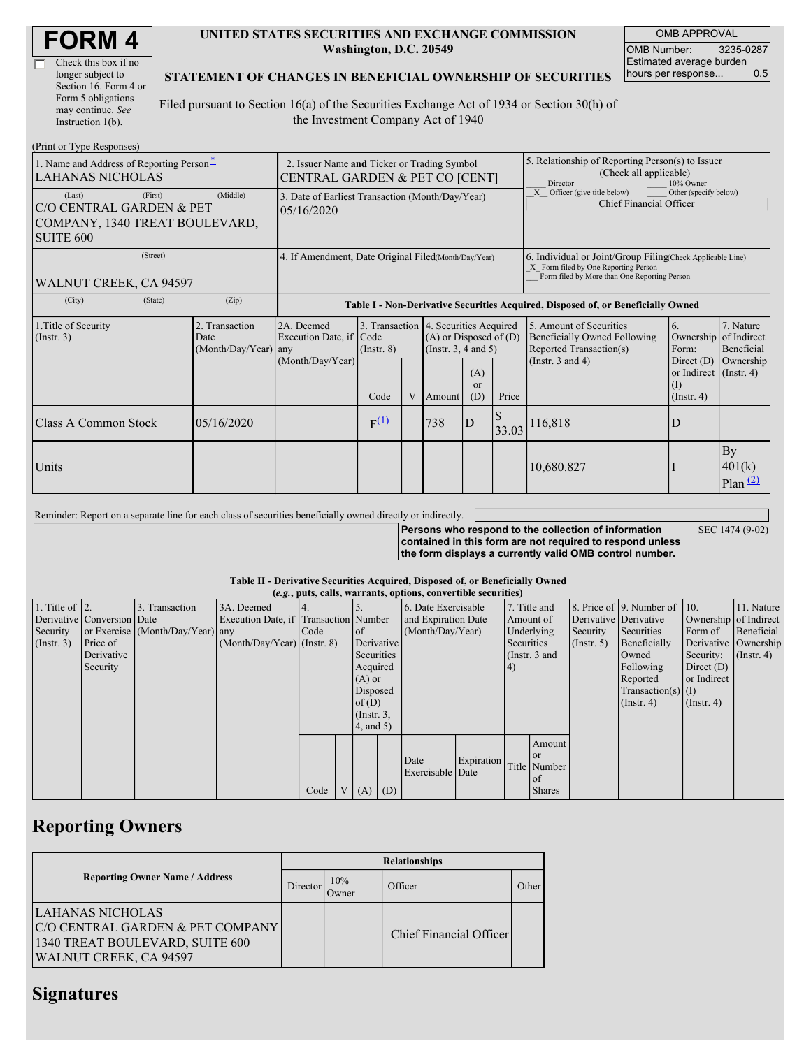| <b>FORM4</b> |
|--------------|
|--------------|

| Check this box if no  |
|-----------------------|
| longer subject to     |
| Section 16. Form 4 or |
| Form 5 obligations    |
| may continue. See     |
| Instruction 1(b).     |

### **UNITED STATES SECURITIES AND EXCHANGE COMMISSION Washington, D.C. 20549**

OMB APPROVAL OMB Number: 3235-0287 Estimated average burden hours per response... 0.5

### **STATEMENT OF CHANGES IN BENEFICIAL OWNERSHIP OF SECURITIES**

Filed pursuant to Section 16(a) of the Securities Exchange Act of 1934 or Section 30(h) of the Investment Company Act of 1940

| (Print or Type Responses)                                                                |                                                                               |                                                  |                                                                                  |                 |   |                                                                                                 |                                                                                                                                                    |       |                                                                                           |                                                                      |                                        |
|------------------------------------------------------------------------------------------|-------------------------------------------------------------------------------|--------------------------------------------------|----------------------------------------------------------------------------------|-----------------|---|-------------------------------------------------------------------------------------------------|----------------------------------------------------------------------------------------------------------------------------------------------------|-------|-------------------------------------------------------------------------------------------|----------------------------------------------------------------------|----------------------------------------|
| 1. Name and Address of Reporting Person-<br><b>LAHANAS NICHOLAS</b>                      | 2. Issuer Name and Ticker or Trading Symbol<br>CENTRAL GARDEN & PET CO [CENT] |                                                  |                                                                                  |                 |   |                                                                                                 | 5. Relationship of Reporting Person(s) to Issuer<br>(Check all applicable)<br>Director<br>10% Owner                                                |       |                                                                                           |                                                                      |                                        |
| (Last)<br>C/O CENTRAL GARDEN & PET<br>COMPANY, 1340 TREAT BOULEVARD,<br><b>SUITE 600</b> | (First)                                                                       | (Middle)                                         | 3. Date of Earliest Transaction (Month/Day/Year)<br>05/16/2020                   |                 |   |                                                                                                 |                                                                                                                                                    |       | X Officer (give title below)<br>Other (specify below)<br><b>Chief Financial Officer</b>   |                                                                      |                                        |
| WALNUT CREEK, CA 94597                                                                   | 4. If Amendment, Date Original Filed(Month/Day/Year)                          |                                                  |                                                                                  |                 |   |                                                                                                 | 6. Individual or Joint/Group Filing(Check Applicable Line)<br>X Form filed by One Reporting Person<br>Form filed by More than One Reporting Person |       |                                                                                           |                                                                      |                                        |
| (City)                                                                                   | (State)                                                                       | (Zip)                                            | Table I - Non-Derivative Securities Acquired, Disposed of, or Beneficially Owned |                 |   |                                                                                                 |                                                                                                                                                    |       |                                                                                           |                                                                      |                                        |
| 1. Title of Security<br>(Insert. 3)                                                      |                                                                               | 2. Transaction<br>Date<br>$(Month/Day/Year)$ any | 2A. Deemed<br>Execution Date, if Code                                            | $($ Instr. $8)$ |   | 3. Transaction 4. Securities Acquired<br>$(A)$ or Disposed of $(D)$<br>(Instr. $3, 4$ and $5$ ) |                                                                                                                                                    |       | 5. Amount of Securities<br><b>Beneficially Owned Following</b><br>Reported Transaction(s) | 6.<br>Ownership<br>Form:                                             | 7. Nature<br>of Indirect<br>Beneficial |
|                                                                                          |                                                                               |                                                  | (Month/Day/Year)                                                                 | Code            | V | Amount                                                                                          | (A)<br><sub>or</sub><br>(D)                                                                                                                        | Price | (Instr. $3$ and $4$ )                                                                     | Direct $(D)$<br>or Indirect $($ Instr. 4)<br>(I)<br>$($ Instr. 4 $)$ | Ownership                              |
| Class A Common Stock                                                                     |                                                                               | 05/16/2020                                       |                                                                                  | $F^{(1)}$       |   | 738                                                                                             | ID                                                                                                                                                 | 33.03 | 116,818                                                                                   | D                                                                    |                                        |
| Units                                                                                    |                                                                               |                                                  |                                                                                  |                 |   |                                                                                                 |                                                                                                                                                    |       | 10,680.827                                                                                |                                                                      | By<br>401(k)<br>Plan(2)                |

Reminder: Report on a separate line for each class of securities beneficially owned directly or indirectly. **Persons who respond to the collection of information**

SEC 1474 (9-02)

**contained in this form are not required to respond unless the form displays a currently valid OMB control number.**

### **Table II - Derivative Securities Acquired, Disposed of, or Beneficially Owned**

|                        | (e.g., puts, calls, warrants, options, convertible securities) |                                  |                                       |      |                |                                    |            |                          |               |            |               |                       |                              |               |                       |
|------------------------|----------------------------------------------------------------|----------------------------------|---------------------------------------|------|----------------|------------------------------------|------------|--------------------------|---------------|------------|---------------|-----------------------|------------------------------|---------------|-----------------------|
| 1. Title of $\vert$ 2. |                                                                | 3. Transaction                   | 3A. Deemed                            |      |                |                                    |            | 6. Date Exercisable      |               |            | 7. Title and  |                       | 8. Price of 9. Number of 10. |               | 11. Nature            |
|                        | Derivative Conversion Date                                     |                                  | Execution Date, if Transaction Number |      |                |                                    |            | and Expiration Date      |               | Amount of  |               | Derivative Derivative |                              |               | Ownership of Indirect |
| Security               |                                                                | or Exercise (Month/Day/Year) any |                                       | Code |                | <sub>of</sub>                      |            | (Month/Day/Year)         |               | Underlying |               | Security              | Securities                   | Form of       | Beneficial            |
| (Insert. 3)            | Price of                                                       |                                  | $(Month/Day/Year)$ (Instr. 8)         |      |                | Derivative                         |            |                          |               | Securities |               | (Insert, 5)           | Beneficially                 |               | Derivative Ownership  |
|                        | Derivative                                                     |                                  |                                       |      |                |                                    | Securities |                          | (Instr. 3 and |            |               | Owned                 | Security:                    | $($ Instr. 4) |                       |
|                        | Security                                                       |                                  |                                       |      |                | Acquired                           |            |                          |               | (4)        |               |                       | Following                    | Direct $(D)$  |                       |
|                        |                                                                |                                  |                                       |      |                | $(A)$ or                           |            |                          |               |            |               | Reported              | or Indirect                  |               |                       |
|                        |                                                                |                                  |                                       |      |                | Disposed                           |            |                          |               |            |               |                       | Transaction(s) $(I)$         |               |                       |
|                        |                                                                |                                  |                                       |      |                | of(D)                              |            |                          |               |            |               |                       | $($ Instr. 4)                | $($ Instr. 4) |                       |
|                        |                                                                |                                  |                                       |      |                | $($ Instr. $3,$<br>$4$ , and $5$ ) |            |                          |               |            |               |                       |                              |               |                       |
|                        |                                                                |                                  |                                       |      |                |                                    |            |                          |               |            |               |                       |                              |               |                       |
|                        |                                                                |                                  |                                       |      |                |                                    |            |                          |               |            | Amount        |                       |                              |               |                       |
|                        |                                                                |                                  |                                       |      |                |                                    |            |                          |               |            | $\alpha$      |                       |                              |               |                       |
|                        |                                                                |                                  |                                       |      |                |                                    |            | Date<br>Exercisable Date | Expiration    |            | Title Number  |                       |                              |               |                       |
|                        |                                                                |                                  |                                       |      |                |                                    |            |                          |               |            | of            |                       |                              |               |                       |
|                        |                                                                |                                  |                                       | Code | V <sub>1</sub> | $(A)$ $(D)$                        |            |                          |               |            | <b>Shares</b> |                       |                              |               |                       |

## **Reporting Owners**

|                                                                                                                   | <b>Relationships</b> |              |                         |       |  |  |  |  |
|-------------------------------------------------------------------------------------------------------------------|----------------------|--------------|-------------------------|-------|--|--|--|--|
| <b>Reporting Owner Name / Address</b>                                                                             | Director             | 10%<br>Owner | Officer                 | Other |  |  |  |  |
| LAHANAS NICHOLAS<br>C/O CENTRAL GARDEN & PET COMPANY<br>1340 TREAT BOULEVARD, SUITE 600<br>WALNUT CREEK, CA 94597 |                      |              | Chief Financial Officer |       |  |  |  |  |

### **Signatures**